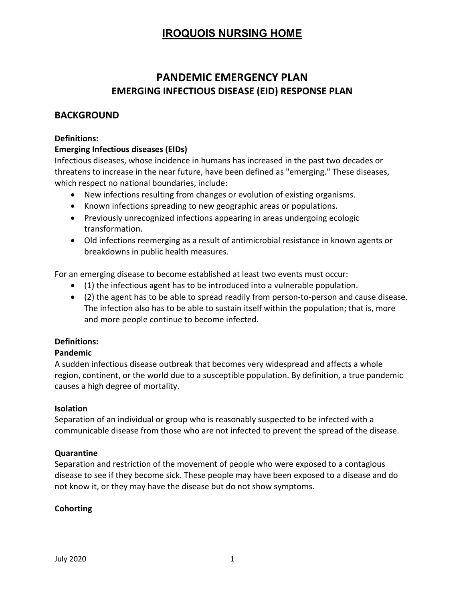# PANDEMIC EMERGENCY PLAN EMERGING INFECTIOUS DISEASE (EID) RESPONSE PLAN

### BACKGROUND

#### Definitions:

#### Emerging Infectious diseases (EIDs)

Infectious diseases, whose incidence in humans has increased in the past two decades or threatens to increase in the near future, have been defined as "emerging." These diseases, which respect no national boundaries, include:

- New infections resulting from changes or evolution of existing organisms.
- Known infections spreading to new geographic areas or populations.
- Previously unrecognized infections appearing in areas undergoing ecologic transformation.
- Old infections reemerging as a result of antimicrobial resistance in known agents or breakdowns in public health measures.

For an emerging disease to become established at least two events must occur:

- (1) the infectious agent has to be introduced into a vulnerable population.
- (2) the agent has to be able to spread readily from person-to-person and cause disease. The infection also has to be able to sustain itself within the population; that is, more and more people continue to become infected.

### Definitions:

#### Pandemic

A sudden infectious disease outbreak that becomes very widespread and affects a whole region, continent, or the world due to a susceptible population. By definition, a true pandemic causes a high degree of mortality.

#### Isolation

Separation of an individual or group who is reasonably suspected to be infected with a communicable disease from those who are not infected to prevent the spread of the disease.

#### Quarantine

Separation and restriction of the movement of people who were exposed to a contagious disease to see if they become sick. These people may have been exposed to a disease and do not know it, or they may have the disease but do not show symptoms.

#### Cohorting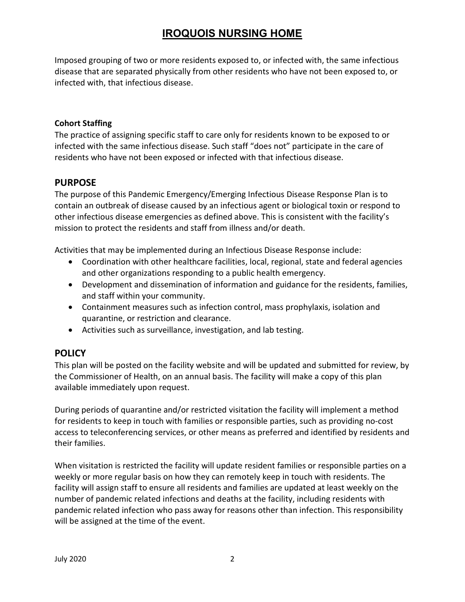Imposed grouping of two or more residents exposed to, or infected with, the same infectious disease that are separated physically from other residents who have not been exposed to, or infected with, that infectious disease.

### Cohort Staffing

The practice of assigning specific staff to care only for residents known to be exposed to or infected with the same infectious disease. Such staff "does not" participate in the care of residents who have not been exposed or infected with that infectious disease.

### PURPOSE

The purpose of this Pandemic Emergency/Emerging Infectious Disease Response Plan is to contain an outbreak of disease caused by an infectious agent or biological toxin or respond to other infectious disease emergencies as defined above. This is consistent with the facility's mission to protect the residents and staff from illness and/or death.

Activities that may be implemented during an Infectious Disease Response include:

- Coordination with other healthcare facilities, local, regional, state and federal agencies and other organizations responding to a public health emergency.
- Development and dissemination of information and guidance for the residents, families, and staff within your community.
- Containment measures such as infection control, mass prophylaxis, isolation and quarantine, or restriction and clearance.
- Activities such as surveillance, investigation, and lab testing.

### **POLICY**

This plan will be posted on the facility website and will be updated and submitted for review, by the Commissioner of Health, on an annual basis. The facility will make a copy of this plan available immediately upon request.

During periods of quarantine and/or restricted visitation the facility will implement a method for residents to keep in touch with families or responsible parties, such as providing no-cost access to teleconferencing services, or other means as preferred and identified by residents and their families.

When visitation is restricted the facility will update resident families or responsible parties on a weekly or more regular basis on how they can remotely keep in touch with residents. The facility will assign staff to ensure all residents and families are updated at least weekly on the number of pandemic related infections and deaths at the facility, including residents with pandemic related infection who pass away for reasons other than infection. This responsibility will be assigned at the time of the event.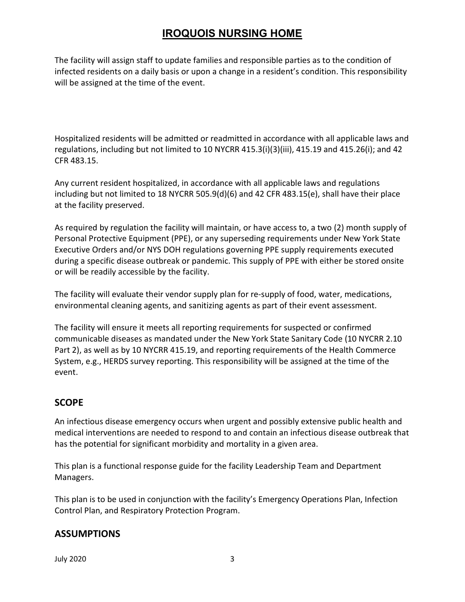The facility will assign staff to update families and responsible parties as to the condition of infected residents on a daily basis or upon a change in a resident's condition. This responsibility will be assigned at the time of the event.

Hospitalized residents will be admitted or readmitted in accordance with all applicable laws and regulations, including but not limited to 10 NYCRR 415.3(i)(3)(iii), 415.19 and 415.26(i); and 42 CFR 483.15.

Any current resident hospitalized, in accordance with all applicable laws and regulations including but not limited to 18 NYCRR 505.9(d)(6) and 42 CFR 483.15(e), shall have their place at the facility preserved.

As required by regulation the facility will maintain, or have access to, a two (2) month supply of Personal Protective Equipment (PPE), or any superseding requirements under New York State Executive Orders and/or NYS DOH regulations governing PPE supply requirements executed during a specific disease outbreak or pandemic. This supply of PPE with either be stored onsite or will be readily accessible by the facility.

The facility will evaluate their vendor supply plan for re-supply of food, water, medications, environmental cleaning agents, and sanitizing agents as part of their event assessment.

The facility will ensure it meets all reporting requirements for suspected or confirmed communicable diseases as mandated under the New York State Sanitary Code (10 NYCRR 2.10 Part 2), as well as by 10 NYCRR 415.19, and reporting requirements of the Health Commerce System, e.g., HERDS survey reporting. This responsibility will be assigned at the time of the event.

## **SCOPE**

An infectious disease emergency occurs when urgent and possibly extensive public health and medical interventions are needed to respond to and contain an infectious disease outbreak that has the potential for significant morbidity and mortality in a given area.

This plan is a functional response guide for the facility Leadership Team and Department Managers.

This plan is to be used in conjunction with the facility's Emergency Operations Plan, Infection Control Plan, and Respiratory Protection Program.

### ASSUMPTIONS

July 2020 3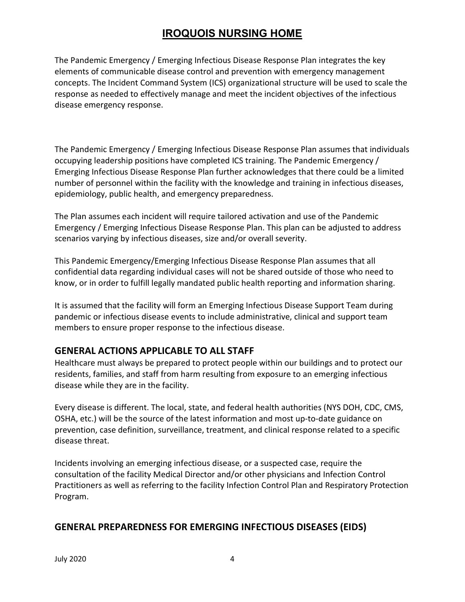The Pandemic Emergency / Emerging Infectious Disease Response Plan integrates the key elements of communicable disease control and prevention with emergency management concepts. The Incident Command System (ICS) organizational structure will be used to scale the response as needed to effectively manage and meet the incident objectives of the infectious disease emergency response.

The Pandemic Emergency / Emerging Infectious Disease Response Plan assumes that individuals occupying leadership positions have completed ICS training. The Pandemic Emergency / Emerging Infectious Disease Response Plan further acknowledges that there could be a limited number of personnel within the facility with the knowledge and training in infectious diseases, epidemiology, public health, and emergency preparedness.

The Plan assumes each incident will require tailored activation and use of the Pandemic Emergency / Emerging Infectious Disease Response Plan. This plan can be adjusted to address scenarios varying by infectious diseases, size and/or overall severity.

This Pandemic Emergency/Emerging Infectious Disease Response Plan assumes that all confidential data regarding individual cases will not be shared outside of those who need to know, or in order to fulfill legally mandated public health reporting and information sharing.

It is assumed that the facility will form an Emerging Infectious Disease Support Team during pandemic or infectious disease events to include administrative, clinical and support team members to ensure proper response to the infectious disease.

## GENERAL ACTIONS APPLICABLE TO ALL STAFF

Healthcare must always be prepared to protect people within our buildings and to protect our residents, families, and staff from harm resulting from exposure to an emerging infectious disease while they are in the facility.

Every disease is different. The local, state, and federal health authorities (NYS DOH, CDC, CMS, OSHA, etc.) will be the source of the latest information and most up-to-date guidance on prevention, case definition, surveillance, treatment, and clinical response related to a specific disease threat.

Incidents involving an emerging infectious disease, or a suspected case, require the consultation of the facility Medical Director and/or other physicians and Infection Control Practitioners as well as referring to the facility Infection Control Plan and Respiratory Protection Program.

### GENERAL PREPAREDNESS FOR EMERGING INFECTIOUS DISEASES (EIDS)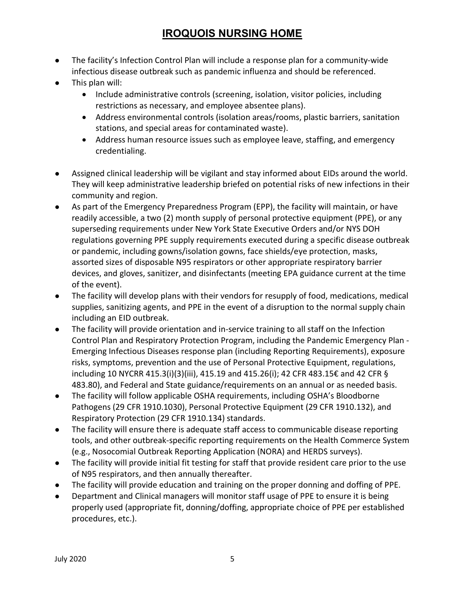- The facility's Infection Control Plan will include a response plan for a community-wide infectious disease outbreak such as pandemic influenza and should be referenced.
- This plan will:
	- Include administrative controls (screening, isolation, visitor policies, including restrictions as necessary, and employee absentee plans).
	- Address environmental controls (isolation areas/rooms, plastic barriers, sanitation stations, and special areas for contaminated waste).
	- Address human resource issues such as employee leave, staffing, and emergency credentialing.
- Assigned clinical leadership will be vigilant and stay informed about EIDs around the world. They will keep administrative leadership briefed on potential risks of new infections in their community and region.
- As part of the Emergency Preparedness Program (EPP), the facility will maintain, or have readily accessible, a two (2) month supply of personal protective equipment (PPE), or any superseding requirements under New York State Executive Orders and/or NYS DOH regulations governing PPE supply requirements executed during a specific disease outbreak or pandemic, including gowns/isolation gowns, face shields/eye protection, masks, assorted sizes of disposable N95 respirators or other appropriate respiratory barrier devices, and gloves, sanitizer, and disinfectants (meeting EPA guidance current at the time of the event).
- The facility will develop plans with their vendors for resupply of food, medications, medical supplies, sanitizing agents, and PPE in the event of a disruption to the normal supply chain including an EID outbreak.
- The facility will provide orientation and in-service training to all staff on the Infection Control Plan and Respiratory Protection Program, including the Pandemic Emergency Plan - Emerging Infectious Diseases response plan (including Reporting Requirements), exposure risks, symptoms, prevention and the use of Personal Protective Equipment, regulations, including 10 NYCRR 415.3(i)(3)(iii), 415.19 and 415.26(i); 42 CFR 483.15€ and 42 CFR § 483.80), and Federal and State guidance/requirements on an annual or as needed basis.
- The facility will follow applicable OSHA requirements, including OSHA's Bloodborne Pathogens (29 CFR 1910.1030), Personal Protective Equipment (29 CFR 1910.132), and Respiratory Protection (29 CFR 1910.134) standards.
- The facility will ensure there is adequate staff access to communicable disease reporting tools, and other outbreak-specific reporting requirements on the Health Commerce System (e.g., Nosocomial Outbreak Reporting Application (NORA) and HERDS surveys).
- The facility will provide initial fit testing for staff that provide resident care prior to the use of N95 respirators, and then annually thereafter.
- The facility will provide education and training on the proper donning and doffing of PPE.
- Department and Clinical managers will monitor staff usage of PPE to ensure it is being properly used (appropriate fit, donning/doffing, appropriate choice of PPE per established procedures, etc.).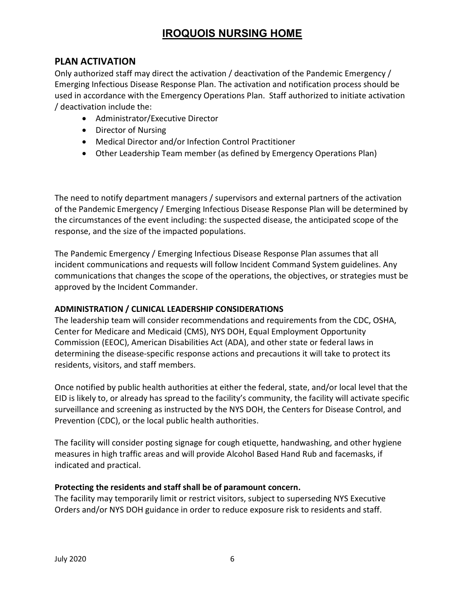### PLAN ACTIVATION

Only authorized staff may direct the activation / deactivation of the Pandemic Emergency / Emerging Infectious Disease Response Plan. The activation and notification process should be used in accordance with the Emergency Operations Plan. Staff authorized to initiate activation / deactivation include the:

- Administrator/Executive Director
- Director of Nursing
- Medical Director and/or Infection Control Practitioner
- Other Leadership Team member (as defined by Emergency Operations Plan)

The need to notify department managers / supervisors and external partners of the activation of the Pandemic Emergency / Emerging Infectious Disease Response Plan will be determined by the circumstances of the event including: the suspected disease, the anticipated scope of the response, and the size of the impacted populations.

The Pandemic Emergency / Emerging Infectious Disease Response Plan assumes that all incident communications and requests will follow Incident Command System guidelines. Any communications that changes the scope of the operations, the objectives, or strategies must be approved by the Incident Commander.

#### ADMINISTRATION / CLINICAL LEADERSHIP CONSIDERATIONS

The leadership team will consider recommendations and requirements from the CDC, OSHA, Center for Medicare and Medicaid (CMS), NYS DOH, Equal Employment Opportunity Commission (EEOC), American Disabilities Act (ADA), and other state or federal laws in determining the disease-specific response actions and precautions it will take to protect its residents, visitors, and staff members.

Once notified by public health authorities at either the federal, state, and/or local level that the EID is likely to, or already has spread to the facility's community, the facility will activate specific surveillance and screening as instructed by the NYS DOH, the Centers for Disease Control, and Prevention (CDC), or the local public health authorities.

The facility will consider posting signage for cough etiquette, handwashing, and other hygiene measures in high traffic areas and will provide Alcohol Based Hand Rub and facemasks, if indicated and practical.

#### Protecting the residents and staff shall be of paramount concern.

The facility may temporarily limit or restrict visitors, subject to superseding NYS Executive Orders and/or NYS DOH guidance in order to reduce exposure risk to residents and staff.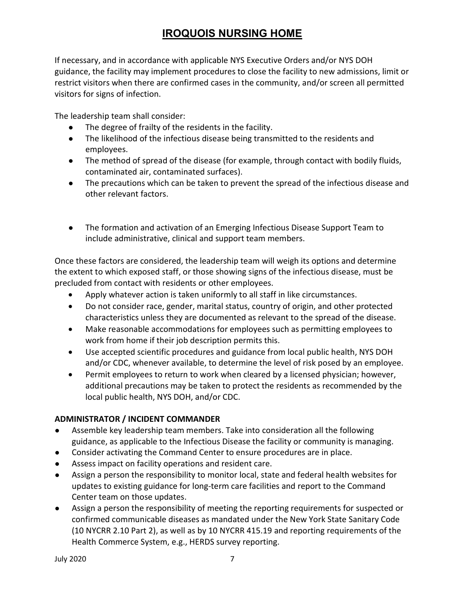If necessary, and in accordance with applicable NYS Executive Orders and/or NYS DOH guidance, the facility may implement procedures to close the facility to new admissions, limit or restrict visitors when there are confirmed cases in the community, and/or screen all permitted visitors for signs of infection.

The leadership team shall consider:

- The degree of frailty of the residents in the facility.
- The likelihood of the infectious disease being transmitted to the residents and employees.
- The method of spread of the disease (for example, through contact with bodily fluids, contaminated air, contaminated surfaces).
- The precautions which can be taken to prevent the spread of the infectious disease and other relevant factors.
- The formation and activation of an Emerging Infectious Disease Support Team to include administrative, clinical and support team members.

Once these factors are considered, the leadership team will weigh its options and determine the extent to which exposed staff, or those showing signs of the infectious disease, must be precluded from contact with residents or other employees.

- Apply whatever action is taken uniformly to all staff in like circumstances.
- Do not consider race, gender, marital status, country of origin, and other protected characteristics unless they are documented as relevant to the spread of the disease.
- Make reasonable accommodations for employees such as permitting employees to work from home if their job description permits this.
- Use accepted scientific procedures and guidance from local public health, NYS DOH and/or CDC, whenever available, to determine the level of risk posed by an employee.
- Permit employees to return to work when cleared by a licensed physician; however, additional precautions may be taken to protect the residents as recommended by the local public health, NYS DOH, and/or CDC.

### ADMINISTRATOR / INCIDENT COMMANDER

- Assemble key leadership team members. Take into consideration all the following guidance, as applicable to the Infectious Disease the facility or community is managing.
- Consider activating the Command Center to ensure procedures are in place.
- Assess impact on facility operations and resident care.
- Assign a person the responsibility to monitor local, state and federal health websites for updates to existing guidance for long-term care facilities and report to the Command Center team on those updates.
- Assign a person the responsibility of meeting the reporting requirements for suspected or confirmed communicable diseases as mandated under the New York State Sanitary Code (10 NYCRR 2.10 Part 2), as well as by 10 NYCRR 415.19 and reporting requirements of the Health Commerce System, e.g., HERDS survey reporting.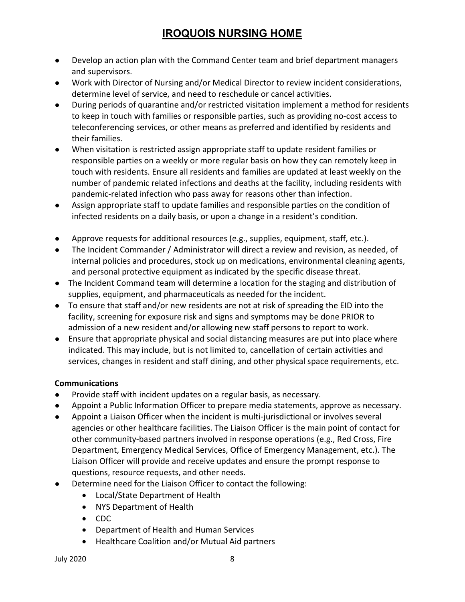- Develop an action plan with the Command Center team and brief department managers and supervisors.
- Work with Director of Nursing and/or Medical Director to review incident considerations, determine level of service, and need to reschedule or cancel activities.
- During periods of quarantine and/or restricted visitation implement a method for residents to keep in touch with families or responsible parties, such as providing no-cost access to teleconferencing services, or other means as preferred and identified by residents and their families.
- When visitation is restricted assign appropriate staff to update resident families or responsible parties on a weekly or more regular basis on how they can remotely keep in touch with residents. Ensure all residents and families are updated at least weekly on the number of pandemic related infections and deaths at the facility, including residents with pandemic-related infection who pass away for reasons other than infection.
- Assign appropriate staff to update families and responsible parties on the condition of infected residents on a daily basis, or upon a change in a resident's condition.
- Approve requests for additional resources (e.g., supplies, equipment, staff, etc.).
- The Incident Commander / Administrator will direct a review and revision, as needed, of internal policies and procedures, stock up on medications, environmental cleaning agents, and personal protective equipment as indicated by the specific disease threat.
- The Incident Command team will determine a location for the staging and distribution of supplies, equipment, and pharmaceuticals as needed for the incident.
- To ensure that staff and/or new residents are not at risk of spreading the EID into the facility, screening for exposure risk and signs and symptoms may be done PRIOR to admission of a new resident and/or allowing new staff persons to report to work.
- Ensure that appropriate physical and social distancing measures are put into place where indicated. This may include, but is not limited to, cancellation of certain activities and services, changes in resident and staff dining, and other physical space requirements, etc.

### Communications

- Provide staff with incident updates on a regular basis, as necessary.
- Appoint a Public Information Officer to prepare media statements, approve as necessary.
- Appoint a Liaison Officer when the incident is multi-jurisdictional or involves several agencies or other healthcare facilities. The Liaison Officer is the main point of contact for other community-based partners involved in response operations (e.g., Red Cross, Fire Department, Emergency Medical Services, Office of Emergency Management, etc.). The Liaison Officer will provide and receive updates and ensure the prompt response to questions, resource requests, and other needs.
- Determine need for the Liaison Officer to contact the following:
	- Local/State Department of Health
	- NYS Department of Health
	- CDC
	- Department of Health and Human Services
	- Healthcare Coalition and/or Mutual Aid partners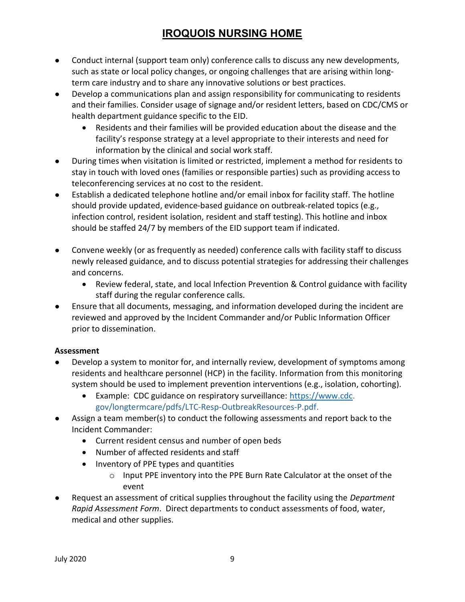- Conduct internal (support team only) conference calls to discuss any new developments, such as state or local policy changes, or ongoing challenges that are arising within longterm care industry and to share any innovative solutions or best practices.
- Develop a communications plan and assign responsibility for communicating to residents and their families. Consider usage of signage and/or resident letters, based on CDC/CMS or health department guidance specific to the EID.
	- Residents and their families will be provided education about the disease and the facility's response strategy at a level appropriate to their interests and need for information by the clinical and social work staff.
- During times when visitation is limited or restricted, implement a method for residents to stay in touch with loved ones (families or responsible parties) such as providing access to teleconferencing services at no cost to the resident.
- Establish a dedicated telephone hotline and/or email inbox for facility staff. The hotline should provide updated, evidence-based guidance on outbreak-related topics (e.g., infection control, resident isolation, resident and staff testing). This hotline and inbox should be staffed 24/7 by members of the EID support team if indicated.
- Convene weekly (or as frequently as needed) conference calls with facility staff to discuss newly released guidance, and to discuss potential strategies for addressing their challenges and concerns.
	- Review federal, state, and local Infection Prevention & Control guidance with facility staff during the regular conference calls.
- Ensure that all documents, messaging, and information developed during the incident are reviewed and approved by the Incident Commander and/or Public Information Officer prior to dissemination.

### Assessment

- Develop a system to monitor for, and internally review, development of symptoms among residents and healthcare personnel (HCP) in the facility. Information from this monitoring system should be used to implement prevention interventions (e.g., isolation, cohorting).
	- Example: CDC guidance on respiratory surveillance: https://www.cdc. gov/longtermcare/pdfs/LTC-Resp-OutbreakResources-P.pdf.
- Assign a team member(s) to conduct the following assessments and report back to the Incident Commander:
	- Current resident census and number of open beds
	- Number of affected residents and staff
	- Inventory of PPE types and quantities
		- o Input PPE inventory into the PPE Burn Rate Calculator at the onset of the event
- Request an assessment of critical supplies throughout the facility using the *Department* Rapid Assessment Form. Direct departments to conduct assessments of food, water, medical and other supplies.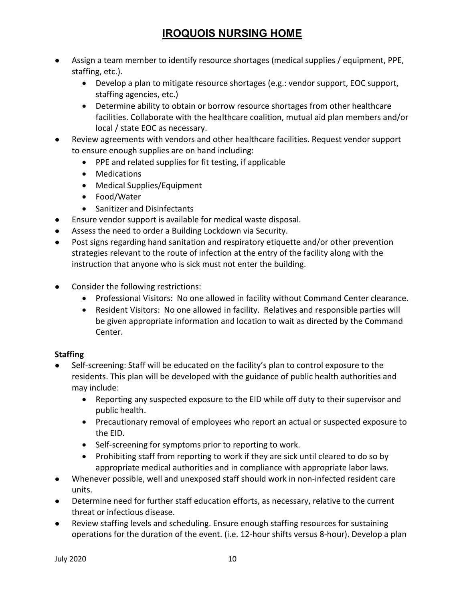- Assign a team member to identify resource shortages (medical supplies / equipment, PPE, staffing, etc.).
	- Develop a plan to mitigate resource shortages (e.g.: vendor support, EOC support, staffing agencies, etc.)
	- Determine ability to obtain or borrow resource shortages from other healthcare facilities. Collaborate with the healthcare coalition, mutual aid plan members and/or local / state EOC as necessary.
- Review agreements with vendors and other healthcare facilities. Request vendor support to ensure enough supplies are on hand including:
	- PPE and related supplies for fit testing, if applicable
	- Medications
	- Medical Supplies/Equipment
	- Food/Water
	- Sanitizer and Disinfectants
- Ensure vendor support is available for medical waste disposal.
- Assess the need to order a Building Lockdown via Security.
- Post signs regarding hand sanitation and respiratory etiquette and/or other prevention strategies relevant to the route of infection at the entry of the facility along with the instruction that anyone who is sick must not enter the building.
- Consider the following restrictions:
	- Professional Visitors: No one allowed in facility without Command Center clearance.
	- Resident Visitors: No one allowed in facility. Relatives and responsible parties will be given appropriate information and location to wait as directed by the Command Center.

### **Staffing**

- Self-screening: Staff will be educated on the facility's plan to control exposure to the residents. This plan will be developed with the guidance of public health authorities and may include:
	- Reporting any suspected exposure to the EID while off duty to their supervisor and public health.
	- Precautionary removal of employees who report an actual or suspected exposure to the EID.
	- Self-screening for symptoms prior to reporting to work.
	- Prohibiting staff from reporting to work if they are sick until cleared to do so by appropriate medical authorities and in compliance with appropriate labor laws.
- Whenever possible, well and unexposed staff should work in non-infected resident care units.
- Determine need for further staff education efforts, as necessary, relative to the current threat or infectious disease.
- Review staffing levels and scheduling. Ensure enough staffing resources for sustaining operations for the duration of the event. (i.e. 12-hour shifts versus 8-hour). Develop a plan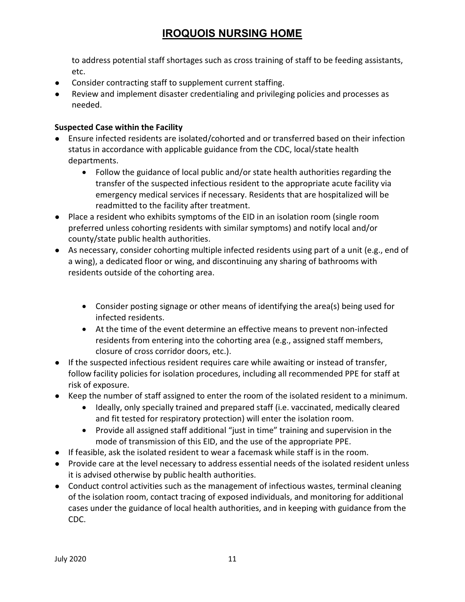to address potential staff shortages such as cross training of staff to be feeding assistants, etc.

- Consider contracting staff to supplement current staffing.
- Review and implement disaster credentialing and privileging policies and processes as needed.

### Suspected Case within the Facility

- Ensure infected residents are isolated/cohorted and or transferred based on their infection status in accordance with applicable guidance from the CDC, local/state health departments.
	- Follow the guidance of local public and/or state health authorities regarding the transfer of the suspected infectious resident to the appropriate acute facility via emergency medical services if necessary. Residents that are hospitalized will be readmitted to the facility after treatment.
- Place a resident who exhibits symptoms of the EID in an isolation room (single room preferred unless cohorting residents with similar symptoms) and notify local and/or county/state public health authorities.
- As necessary, consider cohorting multiple infected residents using part of a unit (e.g., end of a wing), a dedicated floor or wing, and discontinuing any sharing of bathrooms with residents outside of the cohorting area.
	- Consider posting signage or other means of identifying the area(s) being used for infected residents.
	- At the time of the event determine an effective means to prevent non-infected residents from entering into the cohorting area (e.g., assigned staff members, closure of cross corridor doors, etc.).
- If the suspected infectious resident requires care while awaiting or instead of transfer, follow facility policies for isolation procedures, including all recommended PPE for staff at risk of exposure.
- Keep the number of staff assigned to enter the room of the isolated resident to a minimum.
	- Ideally, only specially trained and prepared staff (i.e. vaccinated, medically cleared and fit tested for respiratory protection) will enter the isolation room.
	- Provide all assigned staff additional "just in time" training and supervision in the mode of transmission of this EID, and the use of the appropriate PPE.
- If feasible, ask the isolated resident to wear a facemask while staff is in the room.
- Provide care at the level necessary to address essential needs of the isolated resident unless it is advised otherwise by public health authorities.
- Conduct control activities such as the management of infectious wastes, terminal cleaning of the isolation room, contact tracing of exposed individuals, and monitoring for additional cases under the guidance of local health authorities, and in keeping with guidance from the CDC.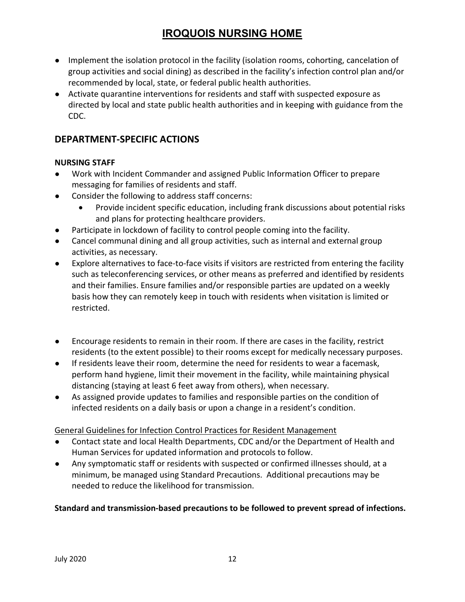- Implement the isolation protocol in the facility (isolation rooms, cohorting, cancelation of group activities and social dining) as described in the facility's infection control plan and/or recommended by local, state, or federal public health authorities.
- Activate quarantine interventions for residents and staff with suspected exposure as directed by local and state public health authorities and in keeping with guidance from the CDC.

### DEPARTMENT-SPECIFIC ACTIONS

#### NURSING STAFF

- Work with Incident Commander and assigned Public Information Officer to prepare messaging for families of residents and staff.
- Consider the following to address staff concerns:
	- Provide incident specific education, including frank discussions about potential risks and plans for protecting healthcare providers.
- Participate in lockdown of facility to control people coming into the facility.
- Cancel communal dining and all group activities, such as internal and external group activities, as necessary.
- Explore alternatives to face-to-face visits if visitors are restricted from entering the facility such as teleconferencing services, or other means as preferred and identified by residents and their families. Ensure families and/or responsible parties are updated on a weekly basis how they can remotely keep in touch with residents when visitation is limited or restricted.
- Encourage residents to remain in their room. If there are cases in the facility, restrict residents (to the extent possible) to their rooms except for medically necessary purposes.
- If residents leave their room, determine the need for residents to wear a facemask, perform hand hygiene, limit their movement in the facility, while maintaining physical distancing (staying at least 6 feet away from others), when necessary.
- As assigned provide updates to families and responsible parties on the condition of infected residents on a daily basis or upon a change in a resident's condition.

### General Guidelines for Infection Control Practices for Resident Management

- Contact state and local Health Departments, CDC and/or the Department of Health and Human Services for updated information and protocols to follow.
- Any symptomatic staff or residents with suspected or confirmed illnesses should, at a minimum, be managed using Standard Precautions. Additional precautions may be needed to reduce the likelihood for transmission.

### Standard and transmission-based precautions to be followed to prevent spread of infections.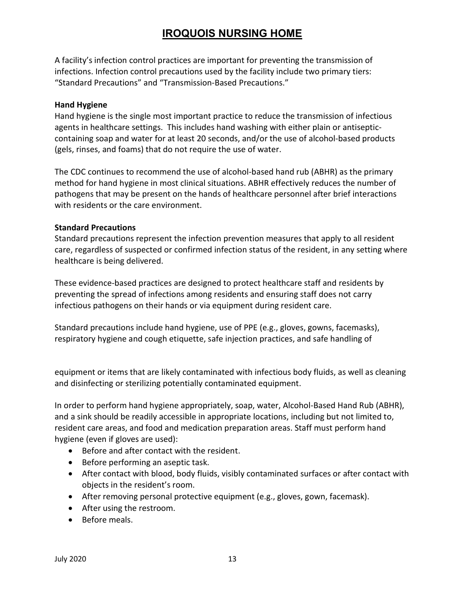A facility's infection control practices are important for preventing the transmission of infections. Infection control precautions used by the facility include two primary tiers: "Standard Precautions" and "Transmission-Based Precautions."

#### Hand Hygiene

Hand hygiene is the single most important practice to reduce the transmission of infectious agents in healthcare settings. This includes hand washing with either plain or antisepticcontaining soap and water for at least 20 seconds, and/or the use of alcohol-based products (gels, rinses, and foams) that do not require the use of water.

The CDC continues to recommend the use of alcohol-based hand rub (ABHR) as the primary method for hand hygiene in most clinical situations. ABHR effectively reduces the number of pathogens that may be present on the hands of healthcare personnel after brief interactions with residents or the care environment.

#### Standard Precautions

Standard precautions represent the infection prevention measures that apply to all resident care, regardless of suspected or confirmed infection status of the resident, in any setting where healthcare is being delivered.

These evidence-based practices are designed to protect healthcare staff and residents by preventing the spread of infections among residents and ensuring staff does not carry infectious pathogens on their hands or via equipment during resident care.

Standard precautions include hand hygiene, use of PPE (e.g., gloves, gowns, facemasks), respiratory hygiene and cough etiquette, safe injection practices, and safe handling of

equipment or items that are likely contaminated with infectious body fluids, as well as cleaning and disinfecting or sterilizing potentially contaminated equipment.

In order to perform hand hygiene appropriately, soap, water, Alcohol-Based Hand Rub (ABHR), and a sink should be readily accessible in appropriate locations, including but not limited to, resident care areas, and food and medication preparation areas. Staff must perform hand hygiene (even if gloves are used):

- Before and after contact with the resident.
- Before performing an aseptic task.
- After contact with blood, body fluids, visibly contaminated surfaces or after contact with objects in the resident's room.
- After removing personal protective equipment (e.g., gloves, gown, facemask).
- After using the restroom.
- Before meals.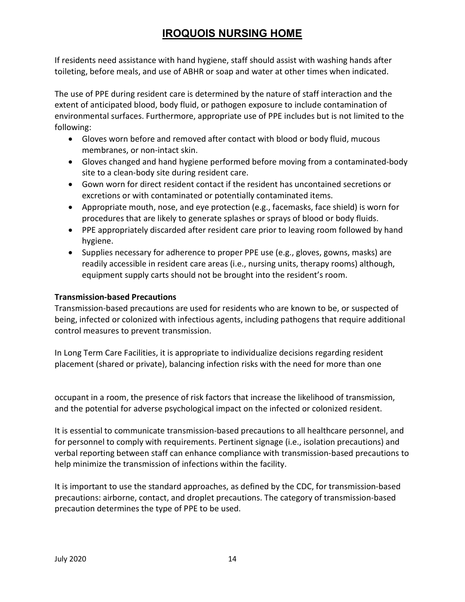If residents need assistance with hand hygiene, staff should assist with washing hands after toileting, before meals, and use of ABHR or soap and water at other times when indicated.

The use of PPE during resident care is determined by the nature of staff interaction and the extent of anticipated blood, body fluid, or pathogen exposure to include contamination of environmental surfaces. Furthermore, appropriate use of PPE includes but is not limited to the following:

- Gloves worn before and removed after contact with blood or body fluid, mucous membranes, or non-intact skin.
- Gloves changed and hand hygiene performed before moving from a contaminated-body site to a clean-body site during resident care.
- Gown worn for direct resident contact if the resident has uncontained secretions or excretions or with contaminated or potentially contaminated items.
- Appropriate mouth, nose, and eye protection (e.g., facemasks, face shield) is worn for procedures that are likely to generate splashes or sprays of blood or body fluids.
- PPE appropriately discarded after resident care prior to leaving room followed by hand hygiene.
- Supplies necessary for adherence to proper PPE use (e.g., gloves, gowns, masks) are readily accessible in resident care areas (i.e., nursing units, therapy rooms) although, equipment supply carts should not be brought into the resident's room.

### Transmission-based Precautions

Transmission-based precautions are used for residents who are known to be, or suspected of being, infected or colonized with infectious agents, including pathogens that require additional control measures to prevent transmission.

In Long Term Care Facilities, it is appropriate to individualize decisions regarding resident placement (shared or private), balancing infection risks with the need for more than one

occupant in a room, the presence of risk factors that increase the likelihood of transmission, and the potential for adverse psychological impact on the infected or colonized resident.

It is essential to communicate transmission-based precautions to all healthcare personnel, and for personnel to comply with requirements. Pertinent signage (i.e., isolation precautions) and verbal reporting between staff can enhance compliance with transmission-based precautions to help minimize the transmission of infections within the facility.

It is important to use the standard approaches, as defined by the CDC, for transmission-based precautions: airborne, contact, and droplet precautions. The category of transmission-based precaution determines the type of PPE to be used.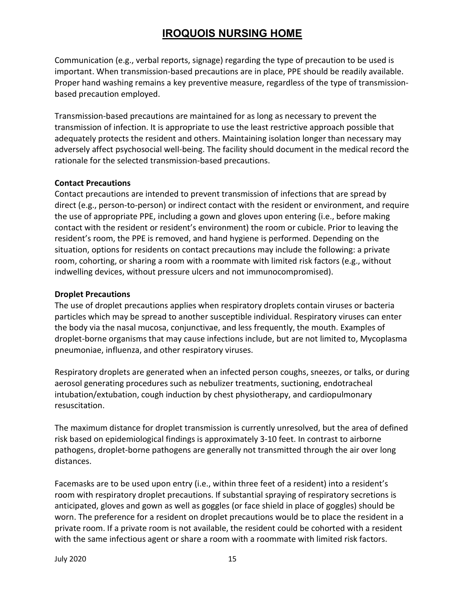Communication (e.g., verbal reports, signage) regarding the type of precaution to be used is important. When transmission-based precautions are in place, PPE should be readily available. Proper hand washing remains a key preventive measure, regardless of the type of transmissionbased precaution employed.

Transmission-based precautions are maintained for as long as necessary to prevent the transmission of infection. It is appropriate to use the least restrictive approach possible that adequately protects the resident and others. Maintaining isolation longer than necessary may adversely affect psychosocial well-being. The facility should document in the medical record the rationale for the selected transmission-based precautions.

#### Contact Precautions

Contact precautions are intended to prevent transmission of infections that are spread by direct (e.g., person-to-person) or indirect contact with the resident or environment, and require the use of appropriate PPE, including a gown and gloves upon entering (i.e., before making contact with the resident or resident's environment) the room or cubicle. Prior to leaving the resident's room, the PPE is removed, and hand hygiene is performed. Depending on the situation, options for residents on contact precautions may include the following: a private room, cohorting, or sharing a room with a roommate with limited risk factors (e.g., without indwelling devices, without pressure ulcers and not immunocompromised).

#### Droplet Precautions

The use of droplet precautions applies when respiratory droplets contain viruses or bacteria particles which may be spread to another susceptible individual. Respiratory viruses can enter the body via the nasal mucosa, conjunctivae, and less frequently, the mouth. Examples of droplet-borne organisms that may cause infections include, but are not limited to, Mycoplasma pneumoniae, influenza, and other respiratory viruses.

Respiratory droplets are generated when an infected person coughs, sneezes, or talks, or during aerosol generating procedures such as nebulizer treatments, suctioning, endotracheal intubation/extubation, cough induction by chest physiotherapy, and cardiopulmonary resuscitation.

The maximum distance for droplet transmission is currently unresolved, but the area of defined risk based on epidemiological findings is approximately 3-10 feet. In contrast to airborne pathogens, droplet-borne pathogens are generally not transmitted through the air over long distances.

Facemasks are to be used upon entry (i.e., within three feet of a resident) into a resident's room with respiratory droplet precautions. If substantial spraying of respiratory secretions is anticipated, gloves and gown as well as goggles (or face shield in place of goggles) should be worn. The preference for a resident on droplet precautions would be to place the resident in a private room. If a private room is not available, the resident could be cohorted with a resident with the same infectious agent or share a room with a roommate with limited risk factors.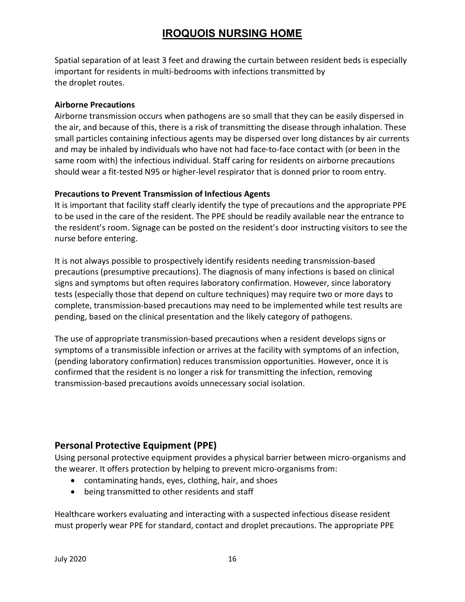Spatial separation of at least 3 feet and drawing the curtain between resident beds is especially important for residents in multi-bedrooms with infections transmitted by the droplet routes.

#### Airborne Precautions

Airborne transmission occurs when pathogens are so small that they can be easily dispersed in the air, and because of this, there is a risk of transmitting the disease through inhalation. These small particles containing infectious agents may be dispersed over long distances by air currents and may be inhaled by individuals who have not had face-to-face contact with (or been in the same room with) the infectious individual. Staff caring for residents on airborne precautions should wear a fit-tested N95 or higher-level respirator that is donned prior to room entry.

#### Precautions to Prevent Transmission of Infectious Agents

It is important that facility staff clearly identify the type of precautions and the appropriate PPE to be used in the care of the resident. The PPE should be readily available near the entrance to the resident's room. Signage can be posted on the resident's door instructing visitors to see the nurse before entering.

It is not always possible to prospectively identify residents needing transmission-based precautions (presumptive precautions). The diagnosis of many infections is based on clinical signs and symptoms but often requires laboratory confirmation. However, since laboratory tests (especially those that depend on culture techniques) may require two or more days to complete, transmission-based precautions may need to be implemented while test results are pending, based on the clinical presentation and the likely category of pathogens.

The use of appropriate transmission-based precautions when a resident develops signs or symptoms of a transmissible infection or arrives at the facility with symptoms of an infection, (pending laboratory confirmation) reduces transmission opportunities. However, once it is confirmed that the resident is no longer a risk for transmitting the infection, removing transmission-based precautions avoids unnecessary social isolation.

## Personal Protective Equipment (PPE)

Using personal protective equipment provides a physical barrier between micro-organisms and the wearer. It offers protection by helping to prevent micro-organisms from:

- contaminating hands, eyes, clothing, hair, and shoes
- being transmitted to other residents and staff

Healthcare workers evaluating and interacting with a suspected infectious disease resident must properly wear PPE for standard, contact and droplet precautions. The appropriate PPE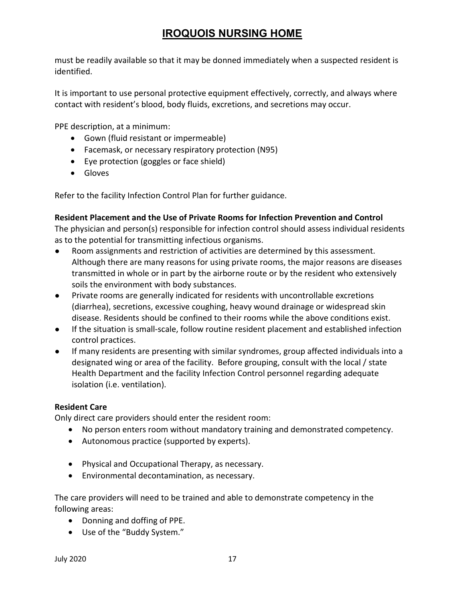must be readily available so that it may be donned immediately when a suspected resident is identified.

It is important to use personal protective equipment effectively, correctly, and always where contact with resident's blood, body fluids, excretions, and secretions may occur.

PPE description, at a minimum:

- Gown (fluid resistant or impermeable)
- Facemask, or necessary respiratory protection (N95)
- Eye protection (goggles or face shield)
- Gloves

Refer to the facility Infection Control Plan for further guidance.

#### Resident Placement and the Use of Private Rooms for Infection Prevention and Control

The physician and person(s) responsible for infection control should assess individual residents as to the potential for transmitting infectious organisms.

- Room assignments and restriction of activities are determined by this assessment. Although there are many reasons for using private rooms, the major reasons are diseases transmitted in whole or in part by the airborne route or by the resident who extensively soils the environment with body substances.
- Private rooms are generally indicated for residents with uncontrollable excretions (diarrhea), secretions, excessive coughing, heavy wound drainage or widespread skin disease. Residents should be confined to their rooms while the above conditions exist.
- If the situation is small-scale, follow routine resident placement and established infection control practices.
- If many residents are presenting with similar syndromes, group affected individuals into a designated wing or area of the facility. Before grouping, consult with the local / state Health Department and the facility Infection Control personnel regarding adequate isolation (i.e. ventilation).

### Resident Care

Only direct care providers should enter the resident room:

- No person enters room without mandatory training and demonstrated competency.
- Autonomous practice (supported by experts).
- Physical and Occupational Therapy, as necessary.
- Environmental decontamination, as necessary.

The care providers will need to be trained and able to demonstrate competency in the following areas:

- Donning and doffing of PPE.
- Use of the "Buddy System."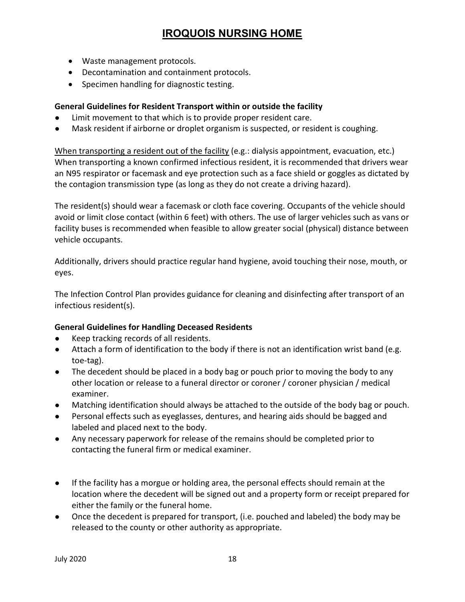- Waste management protocols.
- Decontamination and containment protocols.
- Specimen handling for diagnostic testing.

### General Guidelines for Resident Transport within or outside the facility

- Limit movement to that which is to provide proper resident care.
- Mask resident if airborne or droplet organism is suspected, or resident is coughing.

When transporting a resident out of the facility (e.g.: dialysis appointment, evacuation, etc.) When transporting a known confirmed infectious resident, it is recommended that drivers wear an N95 respirator or facemask and eye protection such as a face shield or goggles as dictated by the contagion transmission type (as long as they do not create a driving hazard).

The resident(s) should wear a facemask or cloth face covering. Occupants of the vehicle should avoid or limit close contact (within 6 feet) with others. The use of larger vehicles such as vans or facility buses is recommended when feasible to allow greater social (physical) distance between vehicle occupants.

Additionally, drivers should practice regular hand hygiene, avoid touching their nose, mouth, or eyes.

The Infection Control Plan provides guidance for cleaning and disinfecting after transport of an infectious resident(s).

### General Guidelines for Handling Deceased Residents

- Keep tracking records of all residents.
- Attach a form of identification to the body if there is not an identification wrist band (e.g. toe-tag).
- The decedent should be placed in a body bag or pouch prior to moving the body to any other location or release to a funeral director or coroner / coroner physician / medical examiner.
- Matching identification should always be attached to the outside of the body bag or pouch.
- Personal effects such as eyeglasses, dentures, and hearing aids should be bagged and labeled and placed next to the body.
- Any necessary paperwork for release of the remains should be completed prior to contacting the funeral firm or medical examiner.
- If the facility has a morgue or holding area, the personal effects should remain at the location where the decedent will be signed out and a property form or receipt prepared for either the family or the funeral home.
- Once the decedent is prepared for transport, (i.e. pouched and labeled) the body may be released to the county or other authority as appropriate.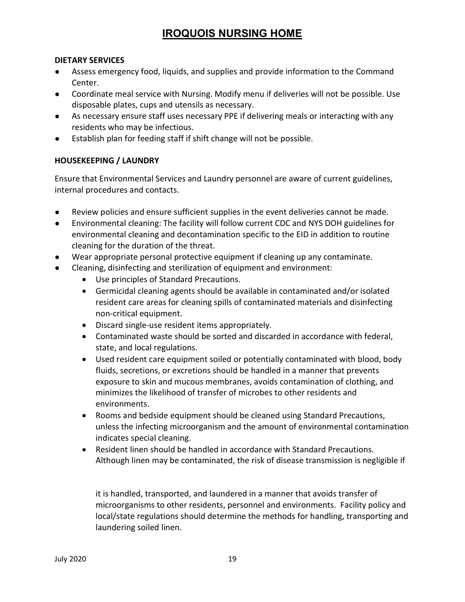#### DIETARY SERVICES

- Assess emergency food, liquids, and supplies and provide information to the Command Center.
- Coordinate meal service with Nursing. Modify menu if deliveries will not be possible. Use disposable plates, cups and utensils as necessary.
- As necessary ensure staff uses necessary PPE if delivering meals or interacting with any residents who may be infectious.
- Establish plan for feeding staff if shift change will not be possible.

#### HOUSEKEEPING / LAUNDRY

Ensure that Environmental Services and Laundry personnel are aware of current guidelines, internal procedures and contacts.

- Review policies and ensure sufficient supplies in the event deliveries cannot be made.
- Environmental cleaning: The facility will follow current CDC and NYS DOH guidelines for environmental cleaning and decontamination specific to the EID in addition to routine cleaning for the duration of the threat.
- Wear appropriate personal protective equipment if cleaning up any contaminate.
- Cleaning, disinfecting and sterilization of equipment and environment:
	- Use principles of Standard Precautions.
	- Germicidal cleaning agents should be available in contaminated and/or isolated resident care areas for cleaning spills of contaminated materials and disinfecting non-critical equipment.
	- Discard single-use resident items appropriately.
	- Contaminated waste should be sorted and discarded in accordance with federal, state, and local regulations.
	- Used resident care equipment soiled or potentially contaminated with blood, body fluids, secretions, or excretions should be handled in a manner that prevents exposure to skin and mucous membranes, avoids contamination of clothing, and minimizes the likelihood of transfer of microbes to other residents and environments.
	- Rooms and bedside equipment should be cleaned using Standard Precautions, unless the infecting microorganism and the amount of environmental contamination indicates special cleaning.
	- Resident linen should be handled in accordance with Standard Precautions. Although linen may be contaminated, the risk of disease transmission is negligible if

it is handled, transported, and laundered in a manner that avoids transfer of microorganisms to other residents, personnel and environments. Facility policy and local/state regulations should determine the methods for handling, transporting and laundering soiled linen.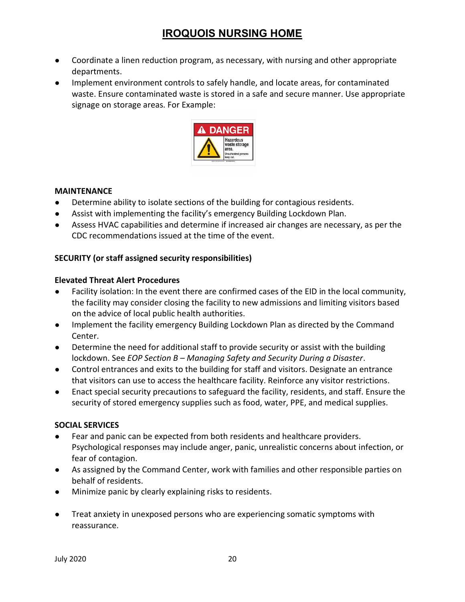- Coordinate a linen reduction program, as necessary, with nursing and other appropriate departments.
- Implement environment controls to safely handle, and locate areas, for contaminated waste. Ensure contaminated waste is stored in a safe and secure manner. Use appropriate signage on storage areas. For Example:



#### MAINTENANCE

- Determine ability to isolate sections of the building for contagious residents.
- Assist with implementing the facility's emergency Building Lockdown Plan.
- Assess HVAC capabilities and determine if increased air changes are necessary, as per the CDC recommendations issued at the time of the event.

### SECURITY (or staff assigned security responsibilities)

#### Elevated Threat Alert Procedures

- Facility isolation: In the event there are confirmed cases of the EID in the local community, the facility may consider closing the facility to new admissions and limiting visitors based on the advice of local public health authorities.
- Implement the facility emergency Building Lockdown Plan as directed by the Command Center.
- Determine the need for additional staff to provide security or assist with the building lockdown. See EOP Section B – Managing Safety and Security During a Disaster.
- Control entrances and exits to the building for staff and visitors. Designate an entrance that visitors can use to access the healthcare facility. Reinforce any visitor restrictions.
- Enact special security precautions to safeguard the facility, residents, and staff. Ensure the security of stored emergency supplies such as food, water, PPE, and medical supplies.

### SOCIAL SERVICES

- Fear and panic can be expected from both residents and healthcare providers. Psychological responses may include anger, panic, unrealistic concerns about infection, or fear of contagion.
- As assigned by the Command Center, work with families and other responsible parties on behalf of residents.
- Minimize panic by clearly explaining risks to residents.
- Treat anxiety in unexposed persons who are experiencing somatic symptoms with reassurance.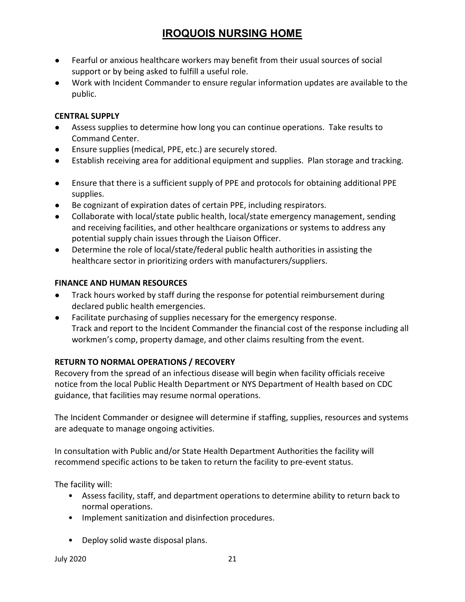- Fearful or anxious healthcare workers may benefit from their usual sources of social support or by being asked to fulfill a useful role.
- Work with Incident Commander to ensure regular information updates are available to the public.

#### CENTRAL SUPPLY

- Assess supplies to determine how long you can continue operations. Take results to Command Center.
- Ensure supplies (medical, PPE, etc.) are securely stored.
- Establish receiving area for additional equipment and supplies. Plan storage and tracking.
- Ensure that there is a sufficient supply of PPE and protocols for obtaining additional PPE supplies.
- Be cognizant of expiration dates of certain PPE, including respirators.
- Collaborate with local/state public health, local/state emergency management, sending and receiving facilities, and other healthcare organizations or systems to address any potential supply chain issues through the Liaison Officer.
- Determine the role of local/state/federal public health authorities in assisting the healthcare sector in prioritizing orders with manufacturers/suppliers.

### FINANCE AND HUMAN RESOURCES

- Track hours worked by staff during the response for potential reimbursement during declared public health emergencies.
- Facilitate purchasing of supplies necessary for the emergency response. Track and report to the Incident Commander the financial cost of the response including all workmen's comp, property damage, and other claims resulting from the event.

### RETURN TO NORMAL OPERATIONS / RECOVERY

Recovery from the spread of an infectious disease will begin when facility officials receive notice from the local Public Health Department or NYS Department of Health based on CDC guidance, that facilities may resume normal operations.

The Incident Commander or designee will determine if staffing, supplies, resources and systems are adequate to manage ongoing activities.

In consultation with Public and/or State Health Department Authorities the facility will recommend specific actions to be taken to return the facility to pre-event status.

The facility will:

- Assess facility, staff, and department operations to determine ability to return back to normal operations.
- Implement sanitization and disinfection procedures.
- Deploy solid waste disposal plans.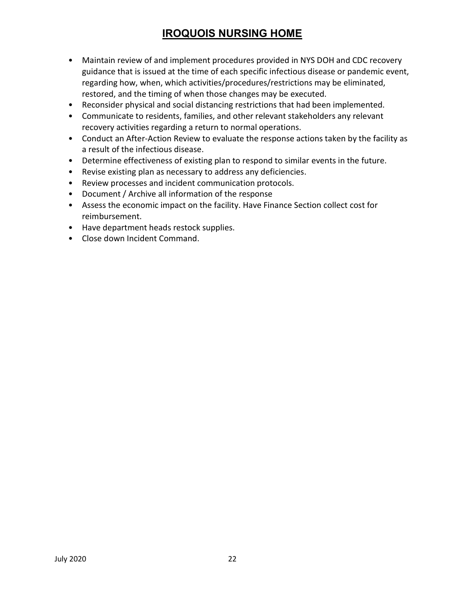- Maintain review of and implement procedures provided in NYS DOH and CDC recovery guidance that is issued at the time of each specific infectious disease or pandemic event, regarding how, when, which activities/procedures/restrictions may be eliminated, restored, and the timing of when those changes may be executed.
- Reconsider physical and social distancing restrictions that had been implemented.
- Communicate to residents, families, and other relevant stakeholders any relevant recovery activities regarding a return to normal operations.
- Conduct an After-Action Review to evaluate the response actions taken by the facility as a result of the infectious disease.
- Determine effectiveness of existing plan to respond to similar events in the future.
- Revise existing plan as necessary to address any deficiencies.
- Review processes and incident communication protocols.
- Document / Archive all information of the response
- Assess the economic impact on the facility. Have Finance Section collect cost for reimbursement.
- Have department heads restock supplies.
- Close down Incident Command.